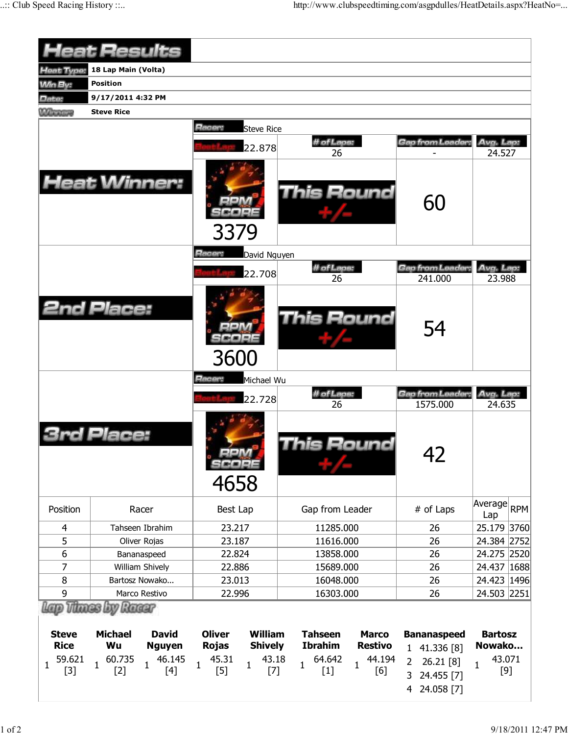|                                 | <b>Heat Results</b>                                                         |                                                                   |                                                                    |                                                                   |                                 |  |  |  |
|---------------------------------|-----------------------------------------------------------------------------|-------------------------------------------------------------------|--------------------------------------------------------------------|-------------------------------------------------------------------|---------------------------------|--|--|--|
| Heat Type:                      | 18 Lap Main (Volta)                                                         |                                                                   |                                                                    |                                                                   |                                 |  |  |  |
| <b>Min By:</b>                  | <b>Position</b>                                                             |                                                                   |                                                                    |                                                                   |                                 |  |  |  |
| Date:                           | 9/17/2011 4:32 PM                                                           |                                                                   |                                                                    |                                                                   |                                 |  |  |  |
| <b>Winners</b>                  | <b>Steve Rice</b>                                                           |                                                                   |                                                                    |                                                                   |                                 |  |  |  |
|                                 |                                                                             | Racer:<br><b>Steve Rice</b><br>22.878                             | # of Laps:<br>26                                                   | Gap from Leader:                                                  | Avg. Lap:<br>24.527             |  |  |  |
|                                 | <b>Heat Winner:</b>                                                         | 3379                                                              | <b>This Round</b>                                                  | 60                                                                |                                 |  |  |  |
|                                 |                                                                             | Racer:<br>David Nguyen                                            |                                                                    |                                                                   |                                 |  |  |  |
|                                 |                                                                             | 22.708                                                            | # of Laps:<br>26                                                   | Gap from Leader:<br>241.000                                       | Avg. Lap:<br>23.988             |  |  |  |
|                                 | <b>2nd Place:</b>                                                           | 3600                                                              | <b>This Round</b>                                                  | 54                                                                |                                 |  |  |  |
|                                 |                                                                             | Racer:<br>Michael Wu                                              |                                                                    |                                                                   |                                 |  |  |  |
|                                 |                                                                             | 22.728                                                            | # of Laps:                                                         | Gap from Leader:                                                  | Avg. Lap:                       |  |  |  |
|                                 | Place:                                                                      | icoes<br>4658                                                     | 26<br>his Round                                                    | 1575.000<br>42                                                    | 24.635                          |  |  |  |
| Position                        | Racer                                                                       | Best Lap                                                          | Gap from Leader                                                    | # of Laps                                                         | Average RPM<br>Lap              |  |  |  |
| 4                               | Tahseen Ibrahim                                                             | 23.217                                                            | 11285.000                                                          | 26                                                                | 25.179 3760                     |  |  |  |
| 5                               | Oliver Rojas                                                                | 23.187                                                            | 11616.000                                                          | 26                                                                | 24.384 2752                     |  |  |  |
| 6                               | Bananaspeed                                                                 | 22.824                                                            | 13858.000                                                          | 26                                                                | 24.275 2520                     |  |  |  |
| $\overline{7}$                  | William Shively                                                             | 22.886                                                            | 15689.000                                                          | 26                                                                | 24.437 1688                     |  |  |  |
| 8                               | Bartosz Nowako                                                              | 23.013                                                            | 16048.000                                                          | 26                                                                | 24.423 1496                     |  |  |  |
| 9                               | Marco Restivo                                                               | 22.996                                                            | 16303.000                                                          | 26                                                                | 24.503 2251                     |  |  |  |
| <b>Steve</b><br><b>Rice</b>     | lap Thues by Raear<br><b>Michael</b><br><b>David</b><br>Wu<br><b>Nguyen</b> | <b>Oliver</b><br><b>William</b><br><b>Rojas</b><br><b>Shively</b> | <b>Tahseen</b><br><b>Marco</b><br><b>Ibrahim</b><br><b>Restivo</b> | <b>Bananaspeed</b><br>1 41.336 [8]                                | <b>Bartosz</b><br>Nowako        |  |  |  |
| 59.621<br>$\mathbf{1}$<br>$[3]$ | 60.735<br>46.145<br>$\mathbf{1}$<br>$\mathbf{1}$<br>$[2]$<br>$[4]$          | 45.31<br>43.18<br>$\mathbf{1}$<br>1<br>$[5]$<br>$[7]$             | 64.642<br>44.194<br>1<br>$\mathbf 1$<br>[6]<br>$[1]$               | 26.21 [8]<br>$\overline{2}$<br>3<br>24.455 [7]<br>24.058 [7]<br>4 | 43.071<br>$\mathbf{1}$<br>$[9]$ |  |  |  |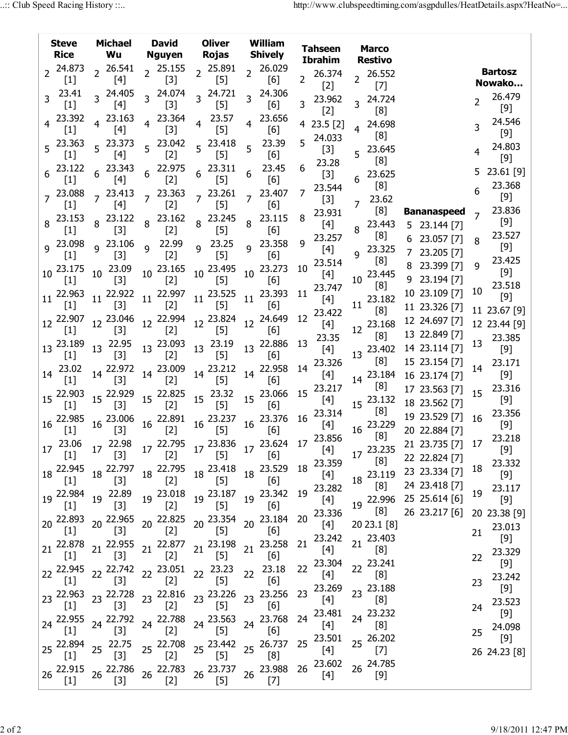|                 | <b>Steve</b><br>Rice                                                                                                                                                                                                | Michael<br>Wu                                                                                                                                                           |                | <b>David</b><br>Nguyen Rojas           | <b>Oliver</b>                                                                                                                                                                                            |                | William<br>Shively                                                                                                                                                                                                                                                                                  |                | <b>Tahseen</b><br>Ibrahim |                 | <b>Marco</b><br><b>Restivo</b> |                                                                                   |                |                          |
|-----------------|---------------------------------------------------------------------------------------------------------------------------------------------------------------------------------------------------------------------|-------------------------------------------------------------------------------------------------------------------------------------------------------------------------|----------------|----------------------------------------|----------------------------------------------------------------------------------------------------------------------------------------------------------------------------------------------------------|----------------|-----------------------------------------------------------------------------------------------------------------------------------------------------------------------------------------------------------------------------------------------------------------------------------------------------|----------------|---------------------------|-----------------|--------------------------------|-----------------------------------------------------------------------------------|----------------|--------------------------|
|                 | 24.873<br>$[1]$                                                                                                                                                                                                     | $2^{26.541}$<br>$[4]$                                                                                                                                                   |                | $2^{25.155}$<br>$[3]$                  | $2^{25.891}$<br>$[5]$                                                                                                                                                                                    |                | 2 26.029<br>[6]                                                                                                                                                                                                                                                                                     | $\overline{2}$ | 26.374<br>$[2]$           |                 | 26.552<br>$[7]$                |                                                                                   |                | <b>Bartosz</b><br>Nowako |
|                 | 23.41<br>$[1]$                                                                                                                                                                                                      | 3 24.405<br>$[4]$                                                                                                                                                       |                | 3 24.074<br>$[3]$                      | 3 24.721<br>$[5]$                                                                                                                                                                                        |                | 3 24.306<br>[6]                                                                                                                                                                                                                                                                                     | 3              | 23.962<br>$[2]$           | 3               | 24.724<br>[8]                  |                                                                                   | $\overline{2}$ | 26.479<br>[9]            |
|                 | 4 23.392<br>$[1]$                                                                                                                                                                                                   | $4^{23.163}$<br>$[4]$                                                                                                                                                   |                | $4^{23.364}$<br>$[3]$                  | $4^{23.57}$<br>$[5]$                                                                                                                                                                                     | $\overline{4}$ | 23.656<br>[6]                                                                                                                                                                                                                                                                                       |                | 4 23.5 [2]                |                 | 4 24.698<br>[8]                |                                                                                   |                | 24.546<br>[9]            |
|                 | $5^{23.363}$<br>$[1]$                                                                                                                                                                                               | $5^{23.373}$<br>$[4]$                                                                                                                                                   |                | 5 23.042<br>$[2]$                      | 5 23.418<br>$[5]$                                                                                                                                                                                        |                | 23.39<br>$[6]$                                                                                                                                                                                                                                                                                      | 5              | 24.033<br>$[3]$           | 5               | 23.645<br>[8]                  |                                                                                   |                | 24.803<br>$[9]$          |
|                 | $6^{23.122}$<br>$\left[1\right]$                                                                                                                                                                                    | $6^{23.343}$<br>[4]                                                                                                                                                     |                | 6 22.975<br>$[2]$                      | $6^{23.311}$<br>$[5]$                                                                                                                                                                                    | 6              | 23.45<br>[6]                                                                                                                                                                                                                                                                                        | 6              | 23.28<br>$[3]$            | 6               | 23.625<br>[8]                  |                                                                                   |                | 23.61 [9]<br>23.368      |
|                 | $7^{23.088}$<br>$[1]$                                                                                                                                                                                               | $7^{23.413}$<br>$[4]$                                                                                                                                                   |                | $7^{23.363}$<br>$[2]$                  | $7^{23.261}$<br>$[5]$                                                                                                                                                                                    |                | 23.407<br>$[6]$                                                                                                                                                                                                                                                                                     | 7              | 23.544<br>$[3]$           | $\overline{7}$  | 23.62<br>[8]                   |                                                                                   | 6              | [9]<br>23.836            |
|                 | 8 23.153<br>$[1]$                                                                                                                                                                                                   | $8^{23.122}$<br>$[3]$                                                                                                                                                   |                | 8 23.162<br>$[2]$                      | 8 23.245<br>$[5]$                                                                                                                                                                                        |                | 8 23.115<br>[6]                                                                                                                                                                                                                                                                                     | 8              | 23.931<br>[4]             |                 | 8 23.443                       | <b>Bananaspeed</b><br>5 23.144 [7]                                                |                | [9]<br>23.527            |
|                 | g 23.098<br>$[1]$                                                                                                                                                                                                   | $9^{23.106}$<br>$[3]$                                                                                                                                                   | $\overline{9}$ | 22.99<br>$[2]$                         | 9 23.25<br>$[5]$                                                                                                                                                                                         |                | 9 23.358<br>[6]                                                                                                                                                                                                                                                                                     | 9              | 23.257<br>[4]             |                 | [8]<br>9 23.325                | 6 23.057 [7]<br>7 23.205 [7]                                                      | 8              | [9]<br>23.425            |
| 10 <sup>°</sup> | 23.175<br>$\left[1\right]$                                                                                                                                                                                          | 10 23.09<br>$[3]$                                                                                                                                                       |                | $10^{23.165}$<br>$[2]$                 | 10 23.495<br>$[5]$                                                                                                                                                                                       |                | 10 23.273<br>[6]                                                                                                                                                                                                                                                                                    | 10             | 23.514<br>$[4]$           | 10 <sup>°</sup> | [8]<br>23.445                  | 8 23.399 [7]<br>9 23.194 [7]                                                      | 9              | [9]<br>23.518            |
|                 | 11 22.963<br>$[1]$                                                                                                                                                                                                  | 11 22.922<br>[3]                                                                                                                                                        |                | $11^{22.997}$<br>$[2]$                 | 11 23.525<br>$[5]$                                                                                                                                                                                       | 11             | 23.393<br>[6]                                                                                                                                                                                                                                                                                       | 11             | 23.747<br>$[4]$           | 11              | [8]<br>23.182                  | 10 23.109 [7]<br>11 23.326 [7]                                                    | 10             | $[9]$<br>11 23.67 [9]    |
|                 | 12 22.907<br>$\lfloor 1 \rfloor$                                                                                                                                                                                    | 12 23.046<br>$[3]$                                                                                                                                                      |                | 12 22.994<br>$[2]$                     | $12^{23.824}$<br>$[5]$                                                                                                                                                                                   |                | 12 24.649<br>[6]                                                                                                                                                                                                                                                                                    | 12             | 23.422<br>[4]             |                 | [8]<br>12 23.168               | 12 24.697 [7]<br>13 22.849 [7]                                                    |                | 12 23.44 [9]             |
|                 | 13 23.189<br>$[1]$                                                                                                                                                                                                  | 13 22.95<br>$[3]$                                                                                                                                                       |                | 13 23.093<br>$[2]$                     | 13 23.19<br>$[5]$                                                                                                                                                                                        |                | 13 22.886<br>[6]                                                                                                                                                                                                                                                                                    | 13             | 23.35<br>[4]              |                 | [8]<br>13 23.402               | 14 23.114 [7]                                                                     | 13             | 23.385<br>[9]            |
|                 | 14 23.02<br>$[1]$                                                                                                                                                                                                   | 14 22.972<br>$[3]$                                                                                                                                                      |                | 14 23.009<br>$[2]$                     | 14 23.212<br>$[5]$                                                                                                                                                                                       |                | 14 22.958<br>[6]                                                                                                                                                                                                                                                                                    | 14             | 23.326<br>$[4]$           |                 | [8]<br>14 23.184               | 15 23.154 [7]<br>16 23.174 [7]                                                    | 14             | 23.171<br>[9]            |
|                 | 15 22.903<br>$[1]$                                                                                                                                                                                                  | $15^{22.929}$<br>$[3]$                                                                                                                                                  |                | 15 22.825<br>$[2]$                     | 15 23.32<br>$[5]$                                                                                                                                                                                        |                | 15 23.066<br>$[6]$                                                                                                                                                                                                                                                                                  | 15             | 23.217<br>$[4]$           |                 | [8]<br>$15^{23.132}$           | 17 23.563 [7]<br>18 23.562 [7]                                                    | 15             | 23.316<br>[9]            |
|                 | 16 22.985<br>$[1]$                                                                                                                                                                                                  | 16 23.006<br>$[3]$                                                                                                                                                      |                | 16 22.891<br>$[2]$                     | $16\frac{23.237}{5}$<br>$[5]$                                                                                                                                                                            |                | 16 23.376 16<br>[6]                                                                                                                                                                                                                                                                                 |                | 23.314<br>$[4]$           |                 | [8]<br>16 23.229               | 19 23.529 [7]<br>20 22.884 [7]                                                    | 16             | 23.356<br>[9]            |
|                 | $[1]$                                                                                                                                                                                                               | $[3]$                                                                                                                                                                   |                | $[2]$                                  | $\frac{1}{1}$ [5]                                                                                                                                                                                        |                | [6]                                                                                                                                                                                                                                                                                                 |                |                           |                 | [8]<br>17 23.235               | 21 23.735 [7] 17<br>22 22.824 [7]                                                 |                | 23.218<br>$[9]$          |
|                 | 18 22.945<br>$[1]$                                                                                                                                                                                                  | 18 22.797<br>$[3]$                                                                                                                                                      |                | 18 22.795<br>$[2]$                     | $18\frac{23.418}{15}$<br>$[5]$                                                                                                                                                                           |                | 18 23.529 18<br>[6]                                                                                                                                                                                                                                                                                 |                | 23.359<br>[4]             |                 | [8]                            | $18\begin{array}{cc} 23.119 & 23 & 23.334\ \hline \end{array}$ 7<br>24 23.418 [7] | 18             | 23.332<br>$[9]$          |
|                 | 19 22.984                                                                                                                                                                                                           | 19 22.89<br>$[3]$                                                                                                                                                       |                | 19 23.018<br>$[2]$                     | 19 23.187<br>$[5]$                                                                                                                                                                                       |                | 19 23.342<br>[6]                                                                                                                                                                                                                                                                                    | 19             | 23.282<br>$[4]$           |                 | [8]                            | $19\begin{array}{l} 22.996 \\ 25 \end{array}$ 25.614 [6]                          | 19             | 23.117<br>$[9]$          |
|                 | 20 22.893<br>$[1]$                                                                                                                                                                                                  | 20 22.965<br>[3]                                                                                                                                                        |                | 20 22.825<br>$[2]$                     | 20 23.354<br>$[5]$                                                                                                                                                                                       |                | 20 23.184<br>[6]                                                                                                                                                                                                                                                                                    | 20             | 23.336<br>[4]             |                 | [8]<br>20 23.1 [8]             | 26 23.217 [6]                                                                     | 21             | 20 23.38 [9]<br>23.013   |
|                 | 22.878<br>$[1]$                                                                                                                                                                                                     | 21 22.955<br>$[3]$                                                                                                                                                      |                | 21 22.877<br>$[2]$                     | 21 23.198<br>$[5]$                                                                                                                                                                                       |                | 21 23.258<br>[6]                                                                                                                                                                                                                                                                                    | 21             | 23.242<br>[4]             |                 | 21 23.403<br>[8]               |                                                                                   | 22             | $[9]$<br>23.329          |
|                 | 22 22.945<br>$[1]$                                                                                                                                                                                                  | $22^{22.742}$<br>$[3]$                                                                                                                                                  |                | 22 23.051 22 23.23<br>$[2]$            | $[5]$                                                                                                                                                                                                    | 22             | 23.18<br>$[6] % \begin{center} \includegraphics[width=\linewidth]{imagesSupplemental/Imetad-Architecture.png} \end{center} % \caption { % \textit{DefNet} of the Grotation \textit{DefNet} and \textit{DefNet} and \textit{DefNet} and \textit{DefNet} are used to be used. } \label{fig:DefNet} %$ | 22             | 23.304<br>[4]             |                 | 22 23.241<br>[8]               |                                                                                   | 23             | $[9]$<br>23.242          |
|                 | $[1]$                                                                                                                                                                                                               | 23 $^{22.963}$ 23 $^{22.728}$<br>$[3]$                                                                                                                                  |                | 23 $^{22.816}$ 23 $^{23.226}$<br>$[2]$ | $[5]$                                                                                                                                                                                                    |                | 23 23.256<br>[6]                                                                                                                                                                                                                                                                                    | 23             | 23.269<br>$[4]$           |                 | 23 23.188<br>[8]               |                                                                                   | 24             | $[9]$<br>23.523          |
|                 | 24 22.955<br>$[1]$                                                                                                                                                                                                  | 24 22.792<br>$[3] % \includegraphics[width=0.9\columnwidth]{figures/fig_1a} \caption{Schematic diagram of the top of the top of the top of the right.} \label{fig:1} %$ |                | 24 22.788<br>$[2]$                     | 24 23.563<br>$[5]$                                                                                                                                                                                       |                | 24 23.768<br>[6]                                                                                                                                                                                                                                                                                    | 24             | 23.481<br>$[4]$           | 24              | 23.232<br>[8]                  |                                                                                   | 25             | $[9]$<br>24.098          |
|                 | 25 22.894<br>$[1] % \includegraphics[width=0.9\columnwidth]{figures/fig_10.pdf} \caption{The figure shows the number of times, and the number of times, and the number of times, respectively.} \label{fig:time} %$ | 25 22.75<br>$[3]$                                                                                                                                                       |                | 25 22.708<br>$[2]$                     | 25 23.442<br>$[5]$                                                                                                                                                                                       |                | 25 26.737<br>[8]                                                                                                                                                                                                                                                                                    | 25             | 23.501<br>$[4]$           |                 | 25 26.202<br>$[7]$             |                                                                                   |                | $[9]$<br>26 24.23 [8]    |
|                 | 26 22.915<br>$[1]$                                                                                                                                                                                                  | 26 22.786<br>$[3]$                                                                                                                                                      |                | 26 22.783<br>$[2]$                     | $[5] % \includegraphics[width=0.9\columnwidth]{figures/fig_10.pdf} \caption{The figure shows the number of times, and the number of times, and the number of times, respectively.} \label{fig:fig:time}$ |                | 26 23.737 26 23.988 26<br>$[7]$                                                                                                                                                                                                                                                                     |                | 23.602<br>[4]             |                 | 26 24.785<br>$[9]$             |                                                                                   |                |                          |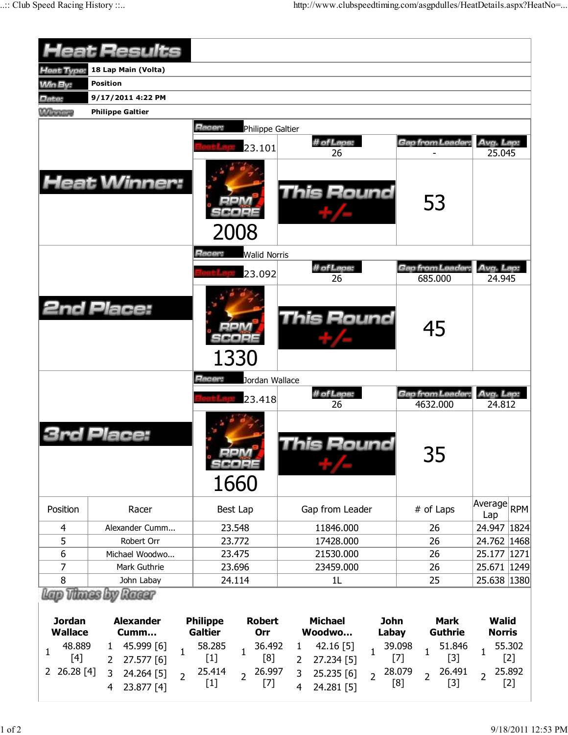|                                                 | <b>Heat Results</b>                                    |              |                                   |                                   |   |                          |                      |                                 |                               |                               |                 |
|-------------------------------------------------|--------------------------------------------------------|--------------|-----------------------------------|-----------------------------------|---|--------------------------|----------------------|---------------------------------|-------------------------------|-------------------------------|-----------------|
| leat Type:                                      | 18 Lap Main (Volta)                                    |              |                                   |                                   |   |                          |                      |                                 |                               |                               |                 |
| <b>Win By:</b>                                  | <b>Position</b>                                        |              |                                   |                                   |   |                          |                      |                                 |                               |                               |                 |
| Date:                                           | 9/17/2011 4:22 PM                                      |              |                                   |                                   |   |                          |                      |                                 |                               |                               |                 |
| <b>Winnings</b>                                 | <b>Philippe Galtier</b>                                |              |                                   |                                   |   |                          |                      |                                 |                               |                               |                 |
|                                                 |                                                        |              | Racer:                            | Philippe Galtier                  |   |                          |                      |                                 |                               |                               |                 |
|                                                 |                                                        |              |                                   | 23.101                            |   | # of Laps:               |                      |                                 | Gap from Leader,              | Avg. Lap:                     |                 |
|                                                 |                                                        |              |                                   |                                   |   | 26                       |                      |                                 |                               | 25.045                        |                 |
|                                                 | <b>Heat Winner:</b>                                    |              |                                   | 2008                              |   | <b>This Round</b>        |                      |                                 | 53                            |                               |                 |
|                                                 |                                                        |              | Racer:                            | <b>Walid Norris</b>               |   |                          |                      |                                 |                               |                               |                 |
|                                                 |                                                        |              |                                   | 23.092                            |   | # of Laps:<br>26         |                      |                                 | Gap from Leader.<br>685.000   | Avg. Lap:<br>24.945           |                 |
|                                                 | <b>2nd Place:</b>                                      |              |                                   | 1330                              |   | This Round               |                      |                                 | 45                            |                               |                 |
|                                                 |                                                        |              | Racer:                            | Jordan Wallace                    |   |                          |                      |                                 |                               |                               |                 |
|                                                 |                                                        |              |                                   |                                   |   |                          |                      |                                 |                               |                               |                 |
|                                                 |                                                        |              |                                   |                                   |   | # of Laps:               |                      |                                 | Gap from Leader:              | Avg. Lap:                     |                 |
|                                                 | Place:                                                 |              |                                   | 23.418<br>12222 <b>22</b><br>1660 |   | 26<br>his Round          |                      |                                 | 4632.000<br>35                | 24.812                        |                 |
| Position                                        | Racer                                                  |              |                                   | Best Lap                          |   | Gap from Leader          |                      |                                 | # of Laps                     | Average<br>Lap                | <b>RPM</b>      |
| 4                                               | Alexander Cumm                                         |              |                                   | 23.548                            |   | 11846.000                |                      |                                 | 26                            | 24.947 1824                   |                 |
| 5                                               | Robert Orr                                             |              |                                   | 23.772                            |   | 17428.000                |                      |                                 | 26                            | 24.762 1468                   |                 |
| 6                                               | Michael Woodwo                                         |              |                                   | 23.475                            |   | 21530.000                |                      |                                 | 26                            | 25.177 1271                   |                 |
| 7                                               | Mark Guthrie                                           |              |                                   | 23.696                            |   | 23459.000                |                      |                                 | 26                            | 25.671 1249                   |                 |
| 8                                               | John Labay                                             |              |                                   | 24.114                            |   | 1L                       |                      |                                 | 25                            | 25.638 1380                   |                 |
| Lap Thues by<br><b>Jordan</b><br><b>Wallace</b> | Racer<br><b>Alexander</b><br>Cumm                      |              | <b>Philippe</b><br><b>Galtier</b> | <b>Robert</b><br>Orr              |   | <b>Michael</b><br>Woodwo | <b>John</b><br>Labay |                                 | <b>Mark</b><br><b>Guthrie</b> | <b>Walid</b><br><b>Norris</b> |                 |
| 48.889                                          | 45.999 [6]<br>$\mathbf{1}$                             |              | 58.285                            | 36.492                            | 1 | 42.16 [5]                |                      | 39.098                          | 51.846                        |                               | 55.302          |
| 1<br>$[4]$<br>26.28 [4]<br>2                    | 27.577 [6]<br>$\mathbf{2}^{\prime}$<br>3<br>24.264 [5] | $\mathbf{1}$ | $[1]$<br>25.414                   | $\mathbf{1}$<br>[8]<br>26.997     | 2 | 27.234 [5]<br>25.235 [6] | $\mathbf{1}$         | $\mathbf{1}$<br>$[7]$<br>28.079 | $[3]$<br>26.491               | 1                             | $[2]$<br>25.892 |